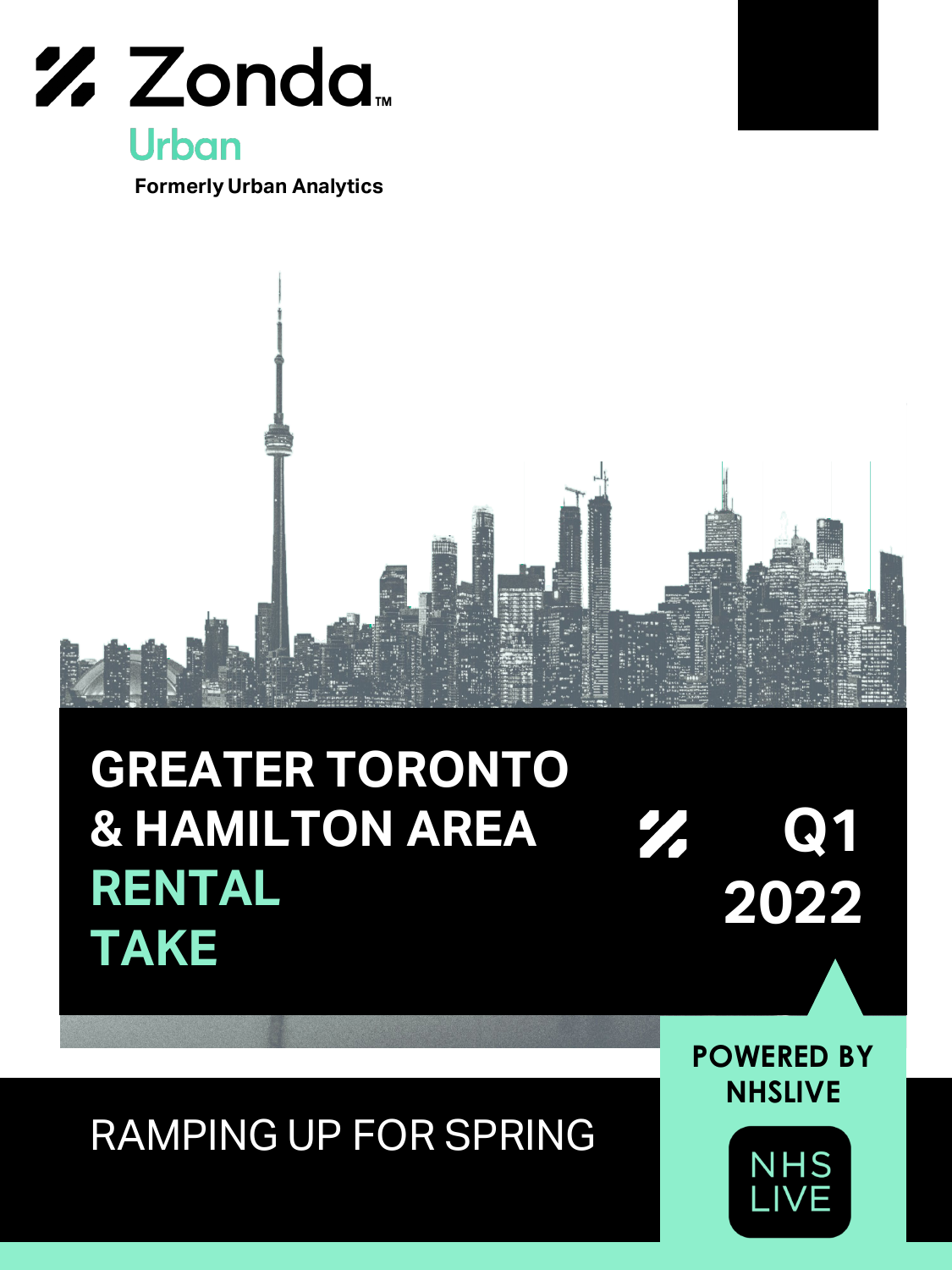

**Formerly Urban Analytics**



## **GREATER TORONTO & HAMILTON AREA** 77 **RENTAL 2022 2022 TAKE**

RAMPING UP FOR SPRING

**POWERED BY NHSLIVE**

**Q1 Q1**